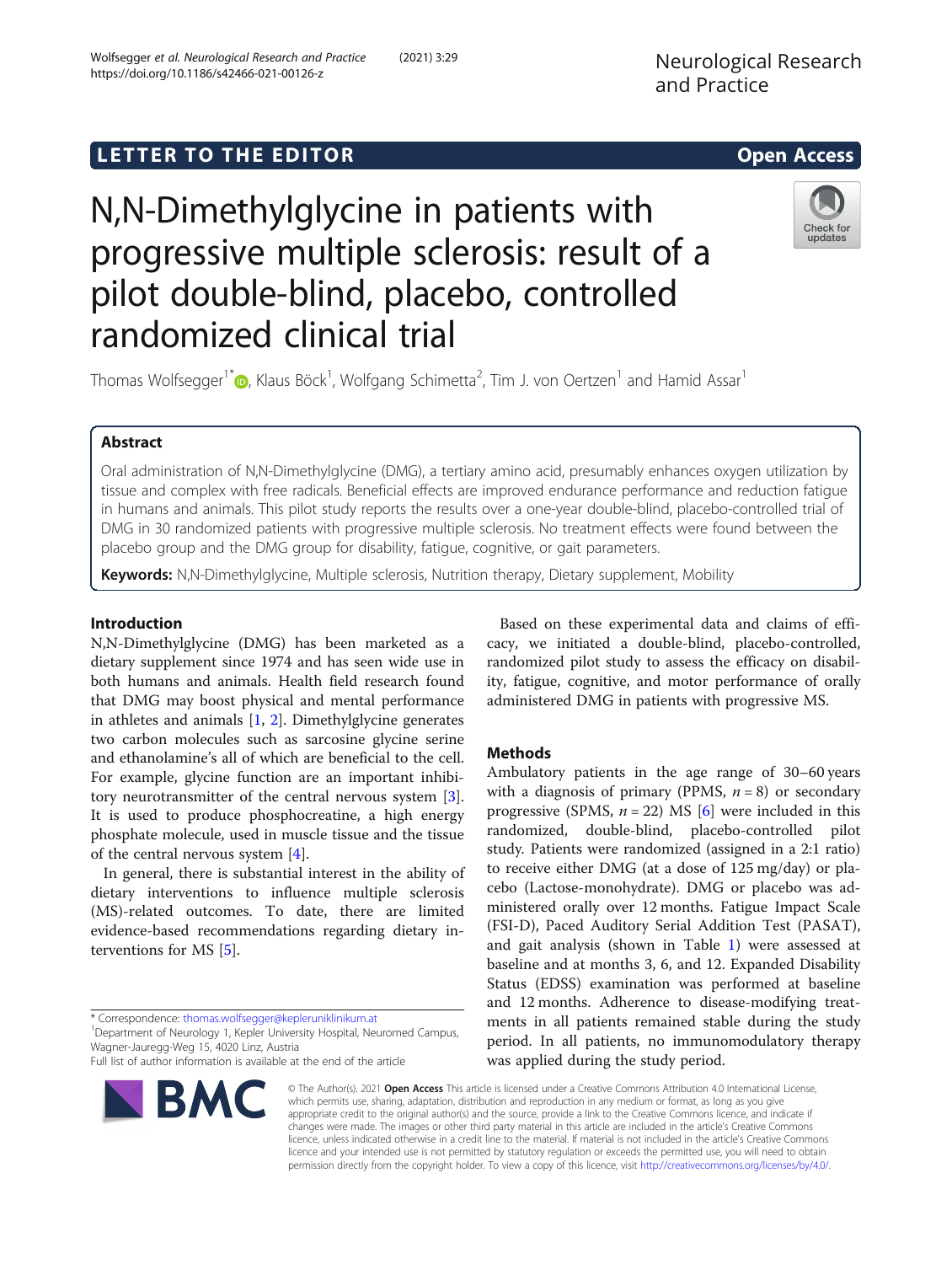https://doi.org/10.1186/s42466-021-00126-z

Wolfsegger et al. Neurological Research and Practice (2021) 3:29

# **LETTER TO THE EDITOR CONSIDERING ACCESS**

# N,N-Dimethylglycine in patients with progressive multiple sclerosis: result of a pilot double-blind, placebo, controlled randomized clinical trial



Thomas Wolfsegger<sup>1\*</sup>©, Klaus Böck<sup>1</sup>, Wolfgang Schimetta<sup>2</sup>, Tim J. von Oertzen<sup>1</sup> and Hamid Assar<sup>1</sup>

# Abstract

Oral administration of N,N-Dimethylglycine (DMG), a tertiary amino acid, presumably enhances oxygen utilization by tissue and complex with free radicals. Beneficial effects are improved endurance performance and reduction fatigue in humans and animals. This pilot study reports the results over a one-year double-blind, placebo-controlled trial of DMG in 30 randomized patients with progressive multiple sclerosis. No treatment effects were found between the placebo group and the DMG group for disability, fatigue, cognitive, or gait parameters.

Keywords: N,N-Dimethylglycine, Multiple sclerosis, Nutrition therapy, Dietary supplement, Mobility

# Introduction

N,N-Dimethylglycine (DMG) has been marketed as a dietary supplement since 1974 and has seen wide use in both humans and animals. Health field research found that DMG may boost physical and mental performance in athletes and animals [[1,](#page-2-0) [2](#page-2-0)]. Dimethylglycine generates two carbon molecules such as sarcosine glycine serine and ethanolamine's all of which are beneficial to the cell. For example, glycine function are an important inhibitory neurotransmitter of the central nervous system [\[3](#page-2-0)]. It is used to produce phosphocreatine, a high energy phosphate molecule, used in muscle tissue and the tissue of the central nervous system [\[4](#page-2-0)].

In general, there is substantial interest in the ability of dietary interventions to influence multiple sclerosis (MS)-related outcomes. To date, there are limited evidence-based recommendations regarding dietary interventions for MS [\[5\]](#page-2-0).

\* Correspondence: [thomas.wolfsegger@kepleruniklinikum.at](mailto:thomas.wolfsegger@kepleruniklinikum.at) <sup>1</sup>

<sup>1</sup> Department of Neurology 1, Kepler University Hospital, Neuromed Campus, Wagner-Jauregg-Weg 15, 4020 Linz, Austria

Full list of author information is available at the end of the article



Based on these experimental data and claims of efficacy, we initiated a double-blind, placebo-controlled, randomized pilot study to assess the efficacy on disability, fatigue, cognitive, and motor performance of orally administered DMG in patients with progressive MS.

# **Methods**

Ambulatory patients in the age range of 30–60 years with a diagnosis of primary (PPMS,  $n = 8$ ) or secondary progressive (SPMS,  $n = 22$ ) MS [\[6](#page-2-0)] were included in this randomized, double-blind, placebo-controlled pilot study. Patients were randomized (assigned in a 2:1 ratio) to receive either DMG (at a dose of 125 mg/day) or placebo (Lactose-monohydrate). DMG or placebo was administered orally over 12 months. Fatigue Impact Scale (FSI-D), Paced Auditory Serial Addition Test (PASAT), and gait analysis (shown in Table [1](#page-1-0)) were assessed at baseline and at months 3, 6, and 12. Expanded Disability Status (EDSS) examination was performed at baseline and 12 months. Adherence to disease-modifying treatments in all patients remained stable during the study period. In all patients, no immunomodulatory therapy was applied during the study period.

© The Author(s). 2021 Open Access This article is licensed under a Creative Commons Attribution 4.0 International License, which permits use, sharing, adaptation, distribution and reproduction in any medium or format, as long as you give appropriate credit to the original author(s) and the source, provide a link to the Creative Commons licence, and indicate if changes were made. The images or other third party material in this article are included in the article's Creative Commons licence, unless indicated otherwise in a credit line to the material. If material is not included in the article's Creative Commons licence and your intended use is not permitted by statutory regulation or exceeds the permitted use, you will need to obtain permission directly from the copyright holder. To view a copy of this licence, visit [http://creativecommons.org/licenses/by/4.0/.](http://creativecommons.org/licenses/by/4.0/)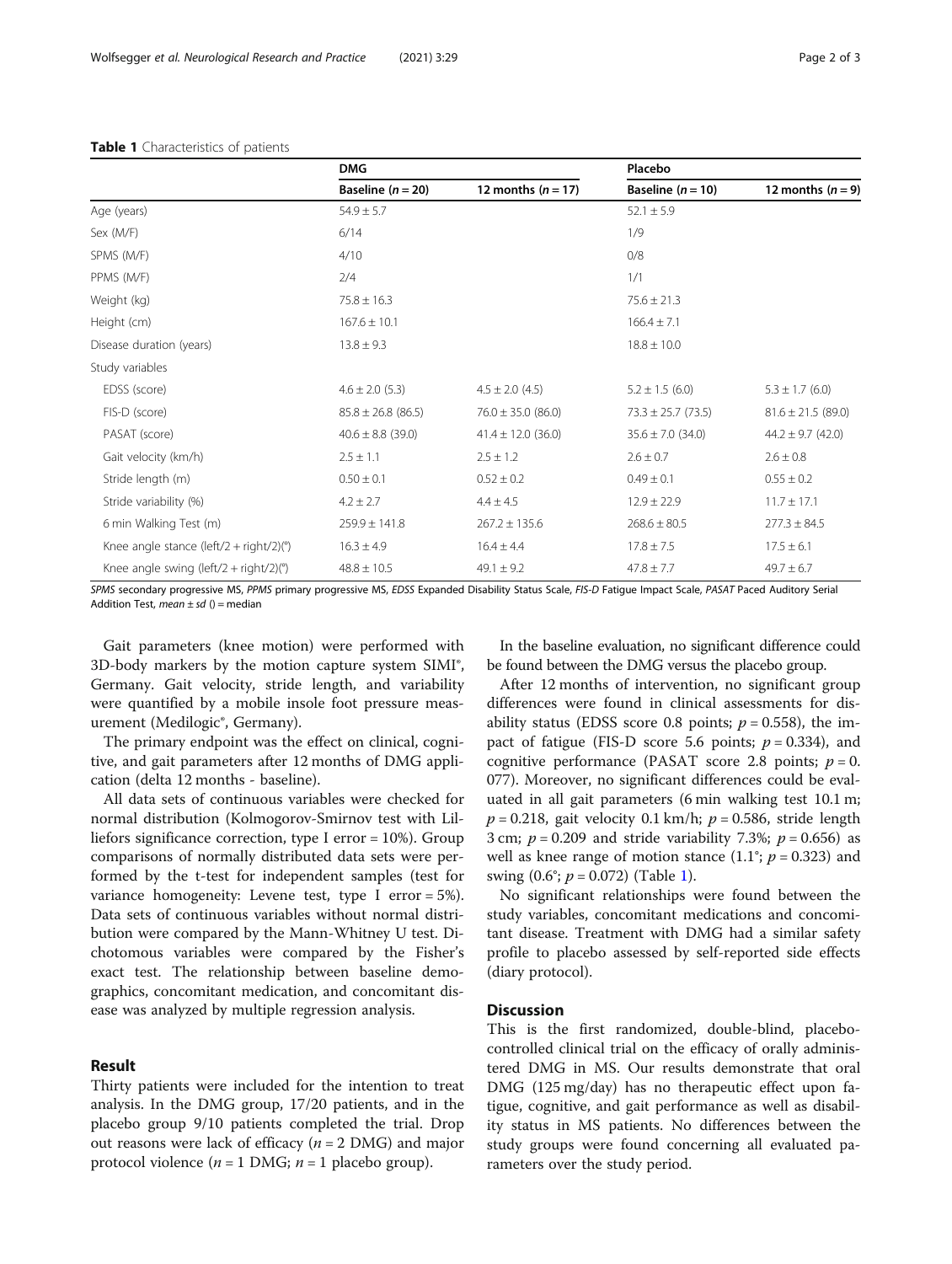|                                                   | <b>DMG</b>             |                        | Placebo                |                        |
|---------------------------------------------------|------------------------|------------------------|------------------------|------------------------|
|                                                   | Baseline $(n = 20)$    | 12 months ( $n = 17$ ) | Baseline $(n = 10)$    | 12 months $(n=9)$      |
| Age (years)                                       | $54.9 \pm 5.7$         |                        | $52.1 \pm 5.9$         |                        |
| Sex (M/F)                                         | 6/14                   |                        | 1/9                    |                        |
| SPMS (M/F)                                        | 4/10                   |                        | 0/8                    |                        |
| PPMS (M/F)                                        | 2/4                    |                        | 1/1                    |                        |
| Weight (kg)                                       | $75.8 \pm 16.3$        |                        | $75.6 \pm 21.3$        |                        |
| Height (cm)                                       | $167.6 \pm 10.1$       |                        | $166.4 \pm 7.1$        |                        |
| Disease duration (years)                          | $13.8 \pm 9.3$         |                        | $18.8 \pm 10.0$        |                        |
| Study variables                                   |                        |                        |                        |                        |
| EDSS (score)                                      | $4.6 \pm 2.0$ (5.3)    | $4.5 \pm 2.0$ (4.5)    | $5.2 \pm 1.5$ (6.0)    | $5.3 \pm 1.7$ (6.0)    |
| FIS-D (score)                                     | $85.8 \pm 26.8$ (86.5) | $76.0 \pm 35.0$ (86.0) | $73.3 \pm 25.7$ (73.5) | $81.6 \pm 21.5$ (89.0) |
| PASAT (score)                                     | $40.6 \pm 8.8$ (39.0)  | $41.4 \pm 12.0$ (36.0) | $35.6 \pm 7.0$ (34.0)  | $44.2 \pm 9.7$ (42.0)  |
| Gait velocity (km/h)                              | $2.5 \pm 1.1$          | $2.5 \pm 1.2$          | $2.6 \pm 0.7$          | $2.6 \pm 0.8$          |
| Stride length (m)                                 | $0.50 \pm 0.1$         | $0.52 \pm 0.2$         | $0.49 \pm 0.1$         | $0.55 \pm 0.2$         |
| Stride variability (%)                            | $4.2 \pm 2.7$          | $4.4 \pm 4.5$          | $12.9 \pm 22.9$        | $11.7 \pm 17.1$        |
| 6 min Walking Test (m)                            | $259.9 \pm 141.8$      | $267.2 \pm 135.6$      | $268.6 \pm 80.5$       | $277.3 \pm 84.5$       |
| Knee angle stance (left/2 + right/2)( $\degree$ ) | $16.3 \pm 4.9$         | $16.4 \pm 4.4$         | $17.8 \pm 7.5$         | $17.5 \pm 6.1$         |
| Knee angle swing (left/2 + right/2)( $\degree$ )  | $48.8 \pm 10.5$        | $49.1 \pm 9.2$         | $47.8 \pm 7.7$         | $49.7 \pm 6.7$         |

#### <span id="page-1-0"></span>Table 1 Characteristics of patients

SPMS secondary progressive MS, PPMS primary progressive MS, EDSS Expanded Disability Status Scale, FIS-D Fatigue Impact Scale, PASAT Paced Auditory Serial Addition Test, mean  $\pm$  sd () = median

Gait parameters (knee motion) were performed with 3D-body markers by the motion capture system SIMI®, Germany. Gait velocity, stride length, and variability were quantified by a mobile insole foot pressure measurement (Medilogic®, Germany).

The primary endpoint was the effect on clinical, cognitive, and gait parameters after 12 months of DMG application (delta 12 months - baseline).

All data sets of continuous variables were checked for normal distribution (Kolmogorov-Smirnov test with Lilliefors significance correction, type I error = 10%). Group comparisons of normally distributed data sets were performed by the t-test for independent samples (test for variance homogeneity: Levene test, type I error = 5%). Data sets of continuous variables without normal distribution were compared by the Mann-Whitney U test. Dichotomous variables were compared by the Fisher's exact test. The relationship between baseline demographics, concomitant medication, and concomitant disease was analyzed by multiple regression analysis.

### Result

Thirty patients were included for the intention to treat analysis. In the DMG group, 17/20 patients, and in the placebo group 9/10 patients completed the trial. Drop out reasons were lack of efficacy ( $n = 2$  DMG) and major protocol violence ( $n = 1$  DMG;  $n = 1$  placebo group).

In the baseline evaluation, no significant difference could be found between the DMG versus the placebo group.

After 12 months of intervention, no significant group differences were found in clinical assessments for disability status (EDSS score 0.8 points;  $p = 0.558$ ), the impact of fatigue (FIS-D score 5.6 points;  $p = 0.334$ ), and cognitive performance (PASAT score 2.8 points;  $p = 0$ . 077). Moreover, no significant differences could be evaluated in all gait parameters (6 min walking test 10.1 m;  $p = 0.218$ , gait velocity 0.1 km/h;  $p = 0.586$ , stride length 3 cm;  $p = 0.209$  and stride variability 7.3%;  $p = 0.656$ ) as well as knee range of motion stance  $(1.1^{\circ}; p = 0.323)$  and swing  $(0.6^{\circ}; p = 0.072)$  (Table 1).

No significant relationships were found between the study variables, concomitant medications and concomitant disease. Treatment with DMG had a similar safety profile to placebo assessed by self-reported side effects (diary protocol).

# **Discussion**

This is the first randomized, double-blind, placebocontrolled clinical trial on the efficacy of orally administered DMG in MS. Our results demonstrate that oral DMG (125 mg/day) has no therapeutic effect upon fatigue, cognitive, and gait performance as well as disability status in MS patients. No differences between the study groups were found concerning all evaluated parameters over the study period.